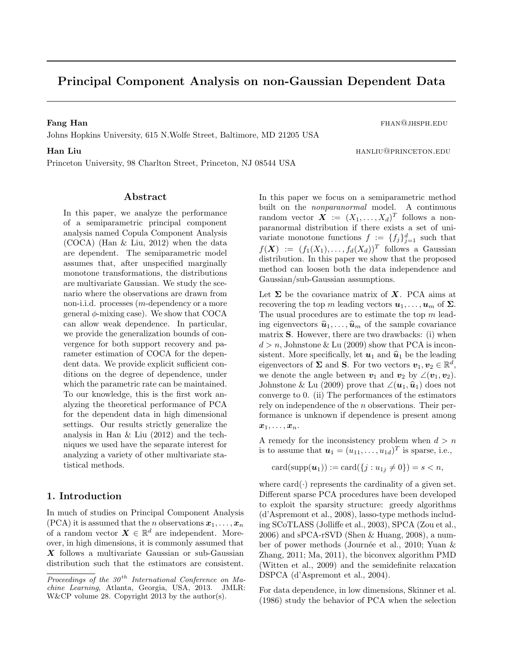# Principal Component Analysis on non-Gaussian Dependent Data

Fang Han fhan@jhsph.edu

Johns Hopkins University, 615 N.Wolfe Street, Baltimore, MD 21205 USA

Princeton University, 98 Charlton Street, Princeton, NJ 08544 USA

## Abstract

In this paper, we analyze the performance of a semiparametric principal component analysis named Copula Component Analysis (COCA) (Han & Liu, 2012) when the data are dependent. The semiparametric model assumes that, after unspecified marginally monotone transformations, the distributions are multivariate Gaussian. We study the scenario where the observations are drawn from non-i.i.d. processes (m-dependency or a more general  $\phi$ -mixing case). We show that COCA can allow weak dependence. In particular, we provide the generalization bounds of convergence for both support recovery and parameter estimation of COCA for the dependent data. We provide explicit sufficient conditions on the degree of dependence, under which the parametric rate can be maintained. To our knowledge, this is the first work analyzing the theoretical performance of PCA for the dependent data in high dimensional settings. Our results strictly generalize the analysis in Han & Liu (2012) and the techniques we used have the separate interest for analyzing a variety of other multivariate statistical methods.

## 1. Introduction

In much of studies on Principal Component Analysis  $(PCA)$  it is assumed that the *n* observations  $x_1, \ldots, x_n$ of a random vector  $\mathbf{X} \in \mathbb{R}^d$  are independent. Moreover, in high dimensions, it is commonly assumed that X follows a multivariate Gaussian or sub-Gaussian distribution such that the estimators are consistent. In this paper we focus on a semiparametric method built on the nonparanormal model. A continuous random vector  $\boldsymbol{X} := (X_1, \ldots, X_d)^T$  follows a nonparanormal distribution if there exists a set of univariate monotone functions  $f := \{f_j\}_{j=1}^d$  such that  $f(\boldsymbol{X}) := (f_1(X_1), \ldots, f_d(X_d))^T$  follows a Gaussian distribution. In this paper we show that the proposed method can loosen both the data independence and Gaussian/sub-Gaussian assumptions.

Let  $\Sigma$  be the covariance matrix of  $X$ . PCA aims at recovering the top m leading vectors  $u_1, \ldots, u_m$  of  $\Sigma$ . The usual procedures are to estimate the top  $m$  leading eigenvectors  $\hat{u}_1, \ldots, \hat{u}_m$  of the sample covariance matrix S. However, there are two drawbacks: (i) when  $d > n$ , Johnstone & Lu (2009) show that PCA is inconsistent. More specifically, let  $u_1$  and  $\hat{u}_1$  be the leading eigenvectors of  $\Sigma$  and  $S$ . For two vectors  $v_1, v_2 \in \mathbb{R}^d$ , we denote the angle between  $v_1$  and  $v_2$  by  $\angle(v_1, v_2)$ . Johnstone & Lu (2009) prove that  $\angle(\mathbf{u}_1,\hat{\mathbf{u}}_1)$  does not converge to 0. (ii) The performances of the estimators rely on independence of the n observations. Their performance is unknown if dependence is present among  $x_1, \ldots, x_n$ .

A remedy for the inconsistency problem when  $d > n$ is to assume that  $\mathbf{u}_1 = (u_{11}, \dots, u_{1d})^T$  is sparse, i.e.,

$$
card(supp(\boldsymbol{u}_1)) := card(\{j : u_{1j} \neq 0\}) = s < n,
$$

where  $card(\cdot)$  represents the cardinality of a given set. Different sparse PCA procedures have been developed to exploit the sparsity structure: greedy algorithms (d'Aspremont et al., 2008), lasso-type methods including SCoTLASS (Jolliffe et al., 2003), SPCA (Zou et al., 2006) and sPCA-rSVD (Shen & Huang, 2008), a number of power methods (Journée et al., 2010; Yuan  $\&$ Zhang, 2011; Ma, 2011), the biconvex algorithm PMD (Witten et al., 2009) and the semidefinite relaxation DSPCA (d'Aspremont et al., 2004).

For data dependence, in low dimensions, Skinner et al. (1986) study the behavior of PCA when the selection

**Han Liu han Liu** hanliu@princeton.edu

Proceedings of the  $30<sup>th</sup>$  International Conference on Machine Learning, Atlanta, Georgia, USA, 2013. JMLR: W&CP volume 28. Copyright 2013 by the author(s).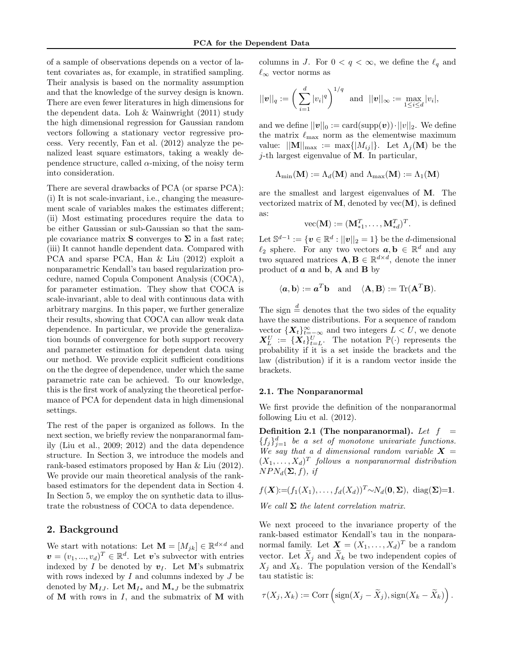of a sample of observations depends on a vector of latent covariates as, for example, in stratified sampling. Their analysis is based on the normality assumption and that the knowledge of the survey design is known. There are even fewer literatures in high dimensions for the dependent data. Loh & Wainwright (2011) study the high dimensional regression for Gaussian random vectors following a stationary vector regressive process. Very recently, Fan et al. (2012) analyze the penalized least square estimators, taking a weakly dependence structure, called  $\alpha$ -mixing, of the noisy term into consideration.

There are several drawbacks of PCA (or sparse PCA): (i) It is not scale-invariant, i.e., changing the measurement scale of variables makes the estimates different; (ii) Most estimating procedures require the data to be either Gaussian or sub-Gaussian so that the sample covariance matrix S converges to  $\Sigma$  in a fast rate; (iii) It cannot handle dependent data. Compared with PCA and sparse PCA, Han & Liu (2012) exploit a nonparametric Kendall's tau based regularization procedure, named Copula Component Analysis (COCA), for parameter estimation. They show that COCA is scale-invariant, able to deal with continuous data with arbitrary margins. In this paper, we further generalize their results, showing that COCA can allow weak data dependence. In particular, we provide the generalization bounds of convergence for both support recovery and parameter estimation for dependent data using our method. We provide explicit sufficient conditions on the the degree of dependence, under which the same parametric rate can be achieved. To our knowledge, this is the first work of analyzing the theoretical performance of PCA for dependent data in high dimensional settings.

The rest of the paper is organized as follows. In the next section, we briefly review the nonparanormal family (Liu et al., 2009; 2012) and the data dependence structure. In Section 3, we introduce the models and rank-based estimators proposed by Han & Liu (2012). We provide our main theoretical analysis of the rankbased estimators for the dependent data in Section 4. In Section 5, we employ the on synthetic data to illustrate the robustness of COCA to data dependence.

## 2. Background

We start with notations: Let  $\mathbf{M} = [M_{jk}] \in \mathbb{R}^{d \times d}$  and  $\mathbf{v}=(v_1,...,v_d)^T\in\mathbb{R}^d$ . Let v's subvector with entries indexed by I be denoted by  $v_I$ . Let M's submatrix with rows indexed by  $I$  and columns indexed by  $J$  be denoted by  $M_{IJ}$ . Let  $M_{I*}$  and  $M_{*J}$  be the submatrix of  $M$  with rows in  $I$ , and the submatrix of  $M$  with columns in J. For  $0 < q < \infty$ , we define the  $\ell_q$  and  $\ell_{\infty}$  vector norms as

$$
||\mathbf{v}||_q := \left(\sum_{i=1}^d |v_i|^q\right)^{1/q} \text{ and } ||\mathbf{v}||_{\infty} := \max_{1 \leq i \leq d} |v_i|,
$$

and we define  $||v||_0 := \text{card}(\text{supp}(v)) \cdot ||v||_2$ . We define the matrix  $\ell_{\text{max}}$  norm as the elementwise maximum value:  $||\mathbf{M}||_{\text{max}} := \max\{|M_{ij}|\}.$  Let  $\Lambda_j(\mathbf{M})$  be the  $j$ -th largest eigenvalue of M. In particular,

$$
\Lambda_{\min}(\mathbf{M}) := \Lambda_d(\mathbf{M})
$$
 and  $\Lambda_{\max}(\mathbf{M}) := \Lambda_1(\mathbf{M})$ 

are the smallest and largest eigenvalues of M. The vectorized matrix of  $M$ , denoted by  $vec(M)$ , is defined as:

$$
\text{vec}(\mathbf{M}):=(\mathbf{M}_{*1}^T,\ldots,\mathbf{M}_{*d}^T)^T.
$$

Let  $\mathbb{S}^{d-1} := \{ \boldsymbol{v} \in \mathbb{R}^d : ||\boldsymbol{v}||_2 = 1 \}$  be the *d*-dimensional  $\ell_2$  sphere. For any two vectors  $\boldsymbol{a}, \boldsymbol{b} \in \mathbb{R}^d$  and any two squared matrices  $\mathbf{A}, \mathbf{B} \in \mathbb{R}^{d \times d}$ , denote the inner product of  $\boldsymbol{a}$  and  $\boldsymbol{b}$ ,  $\boldsymbol{A}$  and  $\boldsymbol{B}$  by

$$
\langle \mathbf{a}, \mathbf{b} \rangle := \mathbf{a}^T \mathbf{b}
$$
 and  $\langle \mathbf{A}, \mathbf{B} \rangle := \text{Tr}(\mathbf{A}^T \mathbf{B}).$ 

The sign  $\frac{d}{dx}$  denotes that the two sides of the equality have the same distributions. For a sequence of random vector  $\{X_t\}_{t=-\infty}^{\infty}$  and two integers  $L < U$ , we denote  $\mathbf{X}_L^U := \{\mathbf{X}_t\}_{t=L}^U$ . The notation  $\mathbb{P}(\cdot)$  represents the probability if it is a set inside the brackets and the law (distribution) if it is a random vector inside the brackets.

#### 2.1. The Nonparanormal

We first provide the definition of the nonparanormal following Liu et al. (2012).

Definition 2.1 (The nonparanormal). Let  $f =$  ${f_j}_{j=1}^d$  be a set of monotone univariate functions. We say that a d dimensional random variable  $X =$  $(X_1, \ldots, X_d)^T$  follows a nonparanormal distribution  $NPN_d(\Sigma, f)$ , if

$$
f(\mathbf{X}) := (f_1(X_1), \dots, f_d(X_d))^T \sim N_d(\mathbf{0}, \Sigma), \text{ diag}(\Sigma) = 1.
$$
  
We call  $\Sigma$  the latent correlation matrix.

We next proceed to the invariance property of the rank-based estimator Kendall's tau in the nonparanormal family. Let  $\boldsymbol{X} = (X_1, \ldots, X_d)^T$  be a random vector. Let  $\tilde{X}_i$  and  $\tilde{X}_k$  be two independent copies of  $X_j$  and  $X_k$ . The population version of the Kendall's tau statistic is:

$$
\tau(X_j, X_k) := \text{Corr}\left(\text{sign}(X_j - \widetilde{X}_j), \text{sign}(X_k - \widetilde{X}_k)\right).
$$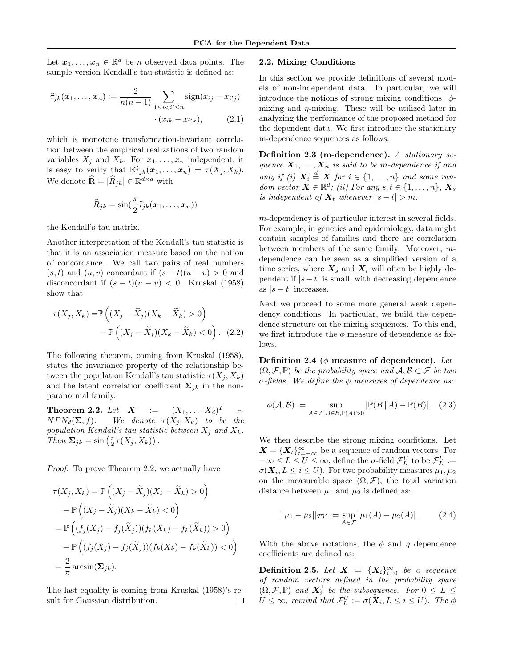Let  $x_1, \ldots, x_n \in \mathbb{R}^d$  be *n* observed data points. The sample version Kendall's tau statistic is defined as:

$$
\widehat{\tau}_{jk}(\boldsymbol{x}_1, \dots, \boldsymbol{x}_n) := \frac{2}{n(n-1)} \sum_{1 \le i < i' \le n} \text{sign}(x_{ij} - x_{i'j}) \cdot (x_{ik} - x_{i'k}), \tag{2.1}
$$

which is monotone transformation-invariant correlation between the empirical realizations of two random variables  $X_j$  and  $X_k$ . For  $x_1, \ldots, x_n$  independent, it is easy to verify that  $\mathbb{E} \widehat{\tau}_{jk}(\boldsymbol{x}_1, \ldots, \boldsymbol{x}_n) = \tau(X_j, X_k).$ We denote  $\widehat{\mathbf{R}} = [\widehat{R}_{jk}] \in \mathbb{R}^{d \times d}$  with

$$
\widehat{R}_{jk} = \sin(\frac{\pi}{2}\widehat{\tau}_{jk}(\boldsymbol{x}_1,\ldots,\boldsymbol{x}_n))
$$

the Kendall's tau matrix.

Another interpretation of the Kendall's tau statistic is that it is an association measure based on the notion of concordance. We call two pairs of real numbers  $(s, t)$  and  $(u, v)$  concordant if  $(s - t)(u - v) > 0$  and disconcordant if  $(s - t)(u - v) < 0$ . Kruskal (1958) show that

$$
\tau(X_j, X_k) = \mathbb{P}\left((X_j - \widetilde{X}_j)(X_k - \widetilde{X}_k) > 0\right) - \mathbb{P}\left((X_j - \widetilde{X}_j)(X_k - \widetilde{X}_k) < 0\right). (2.2)
$$

The following theorem, coming from Kruskal (1958), states the invariance property of the relationship between the population Kendall's tau statistic  $\tau(X_i, X_k)$ and the latent correlation coefficient  $\Sigma_{jk}$  in the nonparanormal family.

Theorem 2.2. Let  $X :=$  $(X_1,\ldots,X_d)^T$  $NPN_d(\Sigma, f)$ . We denote  $\tau(X_j, X_k)$  to be the population Kendall's tau statistic between  $X_j$  and  $X_k$ . Then  $\Sigma_{jk} = \sin\left(\frac{\pi}{2}\tau(X_j, X_k)\right)$ .

Proof. To prove Theorem 2.2, we actually have

$$
\tau(X_j, X_k) = \mathbb{P}\left((X_j - \widetilde{X}_j)(X_k - \widetilde{X}_k) > 0\right)
$$

$$
-\mathbb{P}\left((X_j - \widetilde{X}_j)(X_k - \widetilde{X}_k) < 0\right)
$$

$$
=\mathbb{P}\left((f_j(X_j) - f_j(\widetilde{X}_j))(f_k(X_k) - f_k(\widetilde{X}_k)) > 0\right)
$$

$$
-\mathbb{P}\left((f_j(X_j) - f_j(\widetilde{X}_j))(f_k(X_k) - f_k(\widetilde{X}_k)) < 0\right)
$$

$$
=\frac{2}{\pi}\arcsin(\Sigma_{jk}).
$$

The last equality is coming from Kruskal (1958)'s result for Gaussian distribution.  $\Box$ 

### 2.2. Mixing Conditions

In this section we provide definitions of several models of non-independent data. In particular, we will introduce the notions of strong mixing conditions:  $\phi$ mixing and  $\eta$ -mixing. These will be utilized later in analyzing the performance of the proposed method for the dependent data. We first introduce the stationary m-dependence sequences as follows.

Definition 2.3 (m-dependence). A stationary sequence  $X_1, \ldots, X_n$  is said to be m-dependence if and only if (i)  $X_i \stackrel{d}{=} X$  for  $i \in \{1, \ldots, n\}$  and some random vector  $\mathbf{X} \in \mathbb{R}^d$ ; (ii) For any  $s, t \in \{1, \ldots, n\}$ ,  $\mathbf{X}_s$ is independent of  $X_t$  whenever  $|s-t| > m$ .

m-dependency is of particular interest in several fields. For example, in genetics and epidemiology, data might contain samples of families and there are correlation between members of the same family. Moreover, mdependence can be seen as a simplified version of a time series, where  $\mathbf{X}_s$  and  $\mathbf{X}_t$  will often be highly dependent if  $|s-t|$  is small, with decreasing dependence as  $|s-t|$  increases.

Next we proceed to some more general weak dependency conditions. In particular, we build the dependence structure on the mixing sequences. To this end, we first introduce the  $\phi$  measure of dependence as follows.

Definition 2.4 ( $\phi$  measure of dependence). Let  $(\Omega, \mathcal{F}, \mathbb{P})$  be the probability space and  $\mathcal{A}, \mathcal{B} \subset \mathcal{F}$  be two σ-fields. We define the  $φ$  measures of dependence as:

$$
\phi(\mathcal{A}, \mathcal{B}) := \sup_{A \in \mathcal{A}, B \in \mathcal{B}, \mathbb{P}(A) > 0} |\mathbb{P}(B \mid A) - \mathbb{P}(B)|. \tag{2.3}
$$

We then describe the strong mixing conditions. Let  $\mathbf{X} = {\mathbf{X}_t}_{t= -\infty}^{\infty}$  be a sequence of random vectors. For  $-\infty \le L \le U \le \infty$ , define the  $\sigma$ -field  $\mathcal{F}_L^U$  to be  $\mathcal{F}_L^U :=$  $\sigma(\boldsymbol{X}_i, L \leq i \leq U)$ . For two probability measures  $\mu_1, \mu_2$ on the measurable space  $(\Omega, \mathcal{F})$ , the total variation distance between  $\mu_1$  and  $\mu_2$  is defined as:

$$
||\mu_1 - \mu_2||_{TV} := \sup_{A \in \mathcal{F}} |\mu_1(A) - \mu_2(A)|. \tag{2.4}
$$

With the above notations, the  $\phi$  and  $\eta$  dependence coefficients are defined as:

**Definition 2.5.** Let  $X = \{X_i\}_{i=0}^{\infty}$  be a sequence of random vectors defined in the probability space  $(\Omega, \mathcal{F}, \mathbb{P})$  and  $\mathbf{X}_i^j$  be the subsequence. For  $0 \leq L \leq$  $U \leq \infty$ , remind that  $\mathcal{F}_L^U := \sigma(\boldsymbol{X}_i, L \leq i \leq U)$ . The  $\phi$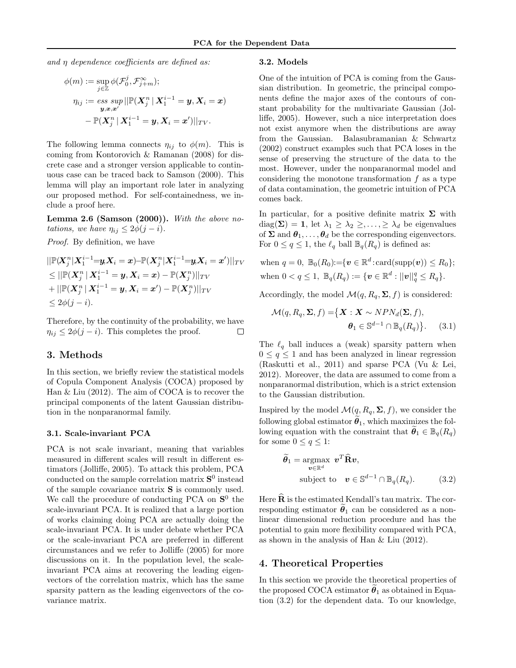and  $\eta$  dependence coefficients are defined as:

$$
\begin{aligned} \phi(m) &:= \sup_{j \in \mathbb{Z}} \phi(\mathcal{F}_0^j, \mathcal{F}_{j+m}^\infty); \\ \eta_{ij} &:= \mathop{ess~sup}\limits_{\boldsymbol{y}, \boldsymbol{x}, \boldsymbol{x}'} || \mathbb{P}(\boldsymbol{X}_j^n \,|\, \boldsymbol{X}_1^{i-1} = \boldsymbol{y}, \boldsymbol{X}_i = \boldsymbol{x}) \\ &- \mathbb{P}(\boldsymbol{X}_j^n \,|\, \boldsymbol{X}_1^{i-1} = \boldsymbol{y}, \boldsymbol{X}_i = \boldsymbol{x}') ||_{TV}. \end{aligned}
$$

The following lemma connects  $\eta_{ij}$  to  $\phi(m)$ . This is coming from Kontorovich & Ramanan (2008) for discrete case and a stronger version applicable to continuous case can be traced back to Samson (2000). This lemma will play an important role later in analyzing our proposed method. For self-containedness, we include a proof here.

Lemma 2.6 (Samson  $(2000)$ ). With the above notations, we have  $\eta_{ij} \leq 2\phi(j-i)$ .

Proof. By definition, we have

$$
\begin{aligned} &||\mathbb{P}(\!X_j^n|\bm{X}_1^{i-1}\!\!=\!\!\bm{y}\!,\!\bm{X}_i=\bm{x})\!\!-\!\!\mathbb{P}(\bm{X}_j^n|\bm{X}_1^{i-1}\!\!=\!\!\bm{y}\!,\!\bm{X}_i=\bm{x}')||_{TV} \\ &\leq ||\mathbb{P}(\bm{X}_j^n|\bm{X}_1^{i-1}=\bm{y},\bm{X}_i=\bm{x})-\mathbb{P}(\bm{X}_j^n)||_{TV} \\ &+||\mathbb{P}(\bm{X}_j^n|\bm{X}_1^{i-1}=\bm{y},\bm{X}_i=\bm{x}')-\mathbb{P}(\bm{X}_j^n)||_{TV} \\ &\leq 2\phi(j-i). \end{aligned}
$$

Therefore, by the continuity of the probability, we have  $\eta_{ij} \leq 2\phi(j-i)$ . This completes the proof. □

## 3. Methods

In this section, we briefly review the statistical models of Copula Component Analysis (COCA) proposed by Han & Liu (2012). The aim of COCA is to recover the principal components of the latent Gaussian distribution in the nonparanormal family.

#### 3.1. Scale-invariant PCA

PCA is not scale invariant, meaning that variables measured in different scales will result in different estimators (Jolliffe, 2005). To attack this problem, PCA conducted on the sample correlation matrix  $S^0$  instead of the sample covariance matrix S is commonly used. We call the procedure of conducting PCA on  $S^0$  the scale-invariant PCA. It is realized that a large portion of works claiming doing PCA are actually doing the scale-invariant PCA. It is under debate whether PCA or the scale-invariant PCA are preferred in different circumstances and we refer to Jolliffe (2005) for more discussions on it. In the population level, the scaleinvariant PCA aims at recovering the leading eigenvectors of the correlation matrix, which has the same sparsity pattern as the leading eigenvectors of the covariance matrix.

#### 3.2. Models

One of the intuition of PCA is coming from the Gaussian distribution. In geometric, the principal components define the major axes of the contours of constant probability for the multivariate Gaussian (Jolliffe, 2005). However, such a nice interpretation does not exist anymore when the distributions are away from the Gaussian. Balasubramanian & Schwartz (2002) construct examples such that PCA loses in the sense of preserving the structure of the data to the most. However, under the nonparanormal model and considering the monotone transformation  $f$  as a type of data contamination, the geometric intuition of PCA comes back.

In particular, for a positive definite matrix  $\Sigma$  with  $diag(\mathbf{\Sigma}) = \mathbf{1}$ , let  $\lambda_1 \geq \lambda_2 \geq \ldots \geq \lambda_d$  be eigenvalues of  $\Sigma$  and  $\theta_1, \ldots, \theta_d$  be the corresponding eigenvectors. For  $0 \le q \le 1$ , the  $\ell_q$  ball  $\mathbb{B}_q(R_q)$  is defined as:

$$
\text{when } q = 0, \ \mathbb{B}_0(R_0) := \{ \boldsymbol{v} \in \mathbb{R}^d : \text{card}(\text{supp}(\boldsymbol{v})) \le R_0 \};
$$
\n
$$
\text{when } 0 < q \le 1, \ \mathbb{B}_q(R_q) := \{ \boldsymbol{v} \in \mathbb{R}^d : ||\boldsymbol{v}||_q^q \le R_q \}.
$$

Accordingly, the model  $\mathcal{M}(q, R_q, \Sigma, f)$  is considered:

$$
\mathcal{M}(q, R_q, \Sigma, f) = \{ \mathbf{X} : \mathbf{X} \sim NPN_d(\Sigma, f), \boldsymbol{\theta}_1 \in \mathbb{S}^{d-1} \cap \mathbb{B}_q(R_q) \}.
$$
 (3.1)

The  $\ell_q$  ball induces a (weak) sparsity pattern when  $0 \leq q \leq 1$  and has been analyzed in linear regression (Raskutti et al., 2011) and sparse PCA (Vu & Lei, 2012). Moreover, the data are assumed to come from a nonparanormal distribution, which is a strict extension to the Gaussian distribution.

Inspired by the model  $\mathcal{M}(q, R_q, \Sigma, f)$ , we consider the following global estimator  $\theta_1$ , which maximizes the following equation with the constraint that  $\theta_1 \in \mathbb{B}_q(R_q)$ for some  $0 \le q \le 1$ :

$$
\widetilde{\theta}_1 = \underset{\mathbf{v} \in \mathbb{R}^d}{\operatorname{argmax}} \ \mathbf{v}^T \widehat{\mathbf{R}} \mathbf{v},
$$
\n
$$
\text{subject to} \quad \mathbf{v} \in \mathbb{S}^{d-1} \cap \mathbb{B}_q(R_q). \tag{3.2}
$$

Here  $\widehat{\mathbf{R}}$  is the estimated Kendall's tau matrix. The corresponding estimator  $\theta_1$  can be considered as a nonlinear dimensional reduction procedure and has the potential to gain more flexibility compared with PCA, as shown in the analysis of Han & Liu (2012).

## 4. Theoretical Properties

In this section we provide the theoretical properties of the proposed COCA estimator  $\theta_1$  as obtained in Equation (3.2) for the dependent data. To our knowledge,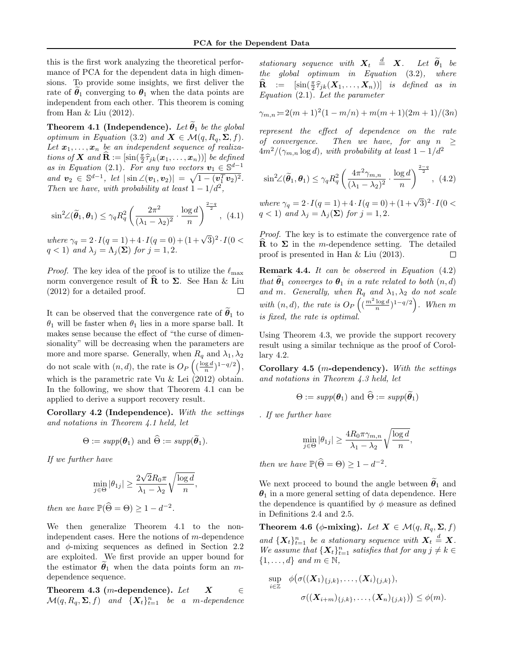this is the first work analyzing the theoretical performance of PCA for the dependent data in high dimensions. To provide some insights, we first deliver the rate of  $\theta_1$  converging to  $\theta_1$  when the data points are independent from each other. This theorem is coming from Han & Liu (2012).

Theorem 4.1 (Independence). Let  $\theta_1$  be the global optimum in Equation (3.2) and  $\mathbf{X} \in \mathcal{M}(q, R_q, \Sigma, f)$ . Let  $x_1, \ldots, x_n$  be an independent sequence of realizations of **X** and  $\hat{\mathbf{R}} := [\sin(\frac{\pi}{2} \hat{\tau}_{jk}(\mathbf{x}_1, ..., \mathbf{x}_n))]$  be defined<br>as in Faugtion (2.1) For any two vectors  $\mathbf{r}_k \in \mathbb{S}^{d-1}$ as in Equation (2.1). For any two vectors  $v_1 \in \mathbb{S}^{d-1}$ and  $v_2 \in \mathbb{S}^{d-1}$ , let  $|\sin \angle(v_1, v_2)| = \sqrt{1 - (v_1^T v_2)^2}$ . Then we have, with probability at least  $1 - 1/d^2$ ,

$$
\sin^2\!\angle(\widetilde{\boldsymbol{\theta}}_1,\boldsymbol{\theta}_1) \le \gamma_q R_q^2 \left(\frac{2\pi^2}{(\lambda_1 - \lambda_2)^2} \cdot \frac{\log d}{n}\right)^{\frac{2-q}{2}},\tag{4.1}
$$

where  $\gamma_q = 2 \cdot I(q=1) + 4 \cdot I(q=0) + (1+\sqrt{3})^2 \cdot I(0 <$  $q < 1$ ) and  $\lambda_j = \Lambda_j(\mathbf{\Sigma})$  for  $j = 1, 2$ .

*Proof.* The key idea of the proof is to utilize the  $\ell_{\text{max}}$ norm convergence result of **R** to Σ. See Han & Liu (2012) for a detailed proof. (2012) for a detailed proof.

It can be observed that the convergence rate of  $\theta_1$  to  $\theta_1$  will be faster when  $\theta_1$  lies in a more sparse ball. It makes sense because the effect of "the curse of dimensionality" will be decreasing when the parameters are more and more sparse. Generally, when  $R_q$  and  $\lambda_1, \lambda_2$ do not scale with  $(n, d)$ , the rate is  $O_P\left(\left(\frac{\log d}{n}\right)^{1-q/2}\right)$ , which is the parametric rate Vu & Lei (2012) obtain. In the following, we show that Theorem 4.1 can be applied to derive a support recovery result.

Corollary 4.2 (Independence). With the settings and notations in Theorem 4.1 held, let

$$
\Theta := supp(\boldsymbol{\theta}_1)
$$
 and  $\widehat{\Theta} := supp(\widetilde{\boldsymbol{\theta}}_1)$ .

If we further have

$$
\min_{j \in \Theta} |\theta_{1j}| \ge \frac{2\sqrt{2}R_0\pi}{\lambda_1 - \lambda_2} \sqrt{\frac{\log d}{n}},
$$

then we have  $\mathbb{P}(\widehat{\Theta} = \Theta) \ge 1 - d^{-2}$ .

We then generalize Theorem 4.1 to the nonindependent cases. Here the notions of m-dependence and  $\phi$ -mixing sequences as defined in Section 2.2 are exploited. We first provide an upper bound for the estimator  $\theta_1$  when the data points form an mdependence sequence.

Theorem 4.3 (m-dependence). Let  $X \in \mathbb{R}$  $\mathcal{M}(q, R_q, \Sigma, f)$  and  $\{X_t\}_{t=1}^n$  be a m-dependence stationary sequence with  $X_t \stackrel{d}{=} X$ . Let  $\widetilde{\theta}_1$  be the global optimum in Equation (3.2), where  $\widehat{\mathbf{R}} := [\sin(\frac{\pi}{2} \widehat{\tau}_{jk}(\mathbf{X}_1, \dots, \mathbf{X}_n))]$  is defined as in Equation (2.1). Let the parameter

$$
\gamma_{m,n} = 2(m+1)^2(1-m/n) + m(m+1)(2m+1)/(3n)
$$

represent the effect of dependence on the rate of convergence. Then we have, for any  $n \geq$  $4m^2/(\gamma_{m,n} \log d)$ , with probability at least  $1 - 1/d^2$ 

$$
\sin^2\!\angle(\widetilde{\theta}_1,\theta_1) \leq \gamma_q R_q^2 \left(\frac{4\pi^2 \gamma_{m,n}}{(\lambda_1 - \lambda_2)^2} \cdot \frac{\log d}{n}\right)^{\frac{2-q}{2}}, \tag{4.2}
$$

where  $\gamma_q = 2 \cdot I(q = 1) + 4 \cdot I(q = 0) + (1 + \sqrt{3})^2 \cdot I(0 <$  $q < 1$ ) and  $\lambda_j = \Lambda_j(\mathbf{\Sigma})$  for  $j = 1, 2$ .

Proof. The key is to estimate the convergence rate of **R** to  $\Sigma$  in the m-dependence setting. The detailed proof is presented in Han & Liu (2013). proof is presented in Han & Liu (2013).

Remark 4.4. It can be observed in Equation (4.2) that  $\theta_1$  converges to  $\theta_1$  in a rate related to both  $(n, d)$ and m. Generally, when  $R_q$  and  $\lambda_1, \lambda_2$  do not scale with  $(n, d)$ , the rate is  $O_P\left((\frac{m^2 \log d}{n})^{1-q/2}\right)$ . When m is fixed, the rate is optimal.

Using Theorem 4.3, we provide the support recovery result using a similar technique as the proof of Corollary 4.2.

Corollary 4.5 (m-dependency). With the settings and notations in Theorem 4.3 held, let

$$
\Theta := supp(\boldsymbol{\theta}_1)
$$
 and  $\widehat{\Theta} := supp(\widetilde{\boldsymbol{\theta}}_1)$ 

. If we further have

$$
\min_{j\in\Theta}|\theta_{1j}|\geq\frac{4R_0\pi\gamma_{m,n}}{\lambda_1-\lambda_2}\sqrt{\frac{\log d}{n}},
$$

then we have  $\mathbb{P}(\widehat{\Theta} = \Theta) \ge 1 - d^{-2}$ .

We next proceed to bound the angle between  $\tilde{\theta}_1$  and  $\theta_1$  in a more general setting of data dependence. Here the dependence is quantified by  $\phi$  measure as defined in Definitions 2.4 and 2.5.

Theorem 4.6 ( $\phi$ -mixing). Let  $X \in \mathcal{M}(q, R_q, \Sigma, f)$ and  $\{X_t\}_{t=1}^n$  be a stationary sequence with  $X_t \stackrel{d}{=} X$ . We assume that  $\{X_t\}_{t=1}^n$  satisfies that for any  $j \neq k \in$  $\{1, \ldots, d\}$  and  $m \in \mathbb{N}$ ,

$$
\sup_{i\in\mathbb{Z}} \phi(\sigma((\boldsymbol{X}_1)_{\{j,k\}},\ldots,(\boldsymbol{X}_i)_{\{j,k\}}),\\ \sigma((\boldsymbol{X}_{i+m})_{\{j,k\}},\ldots,(\boldsymbol{X}_n)_{\{j,k\}})) \leq \phi(m).
$$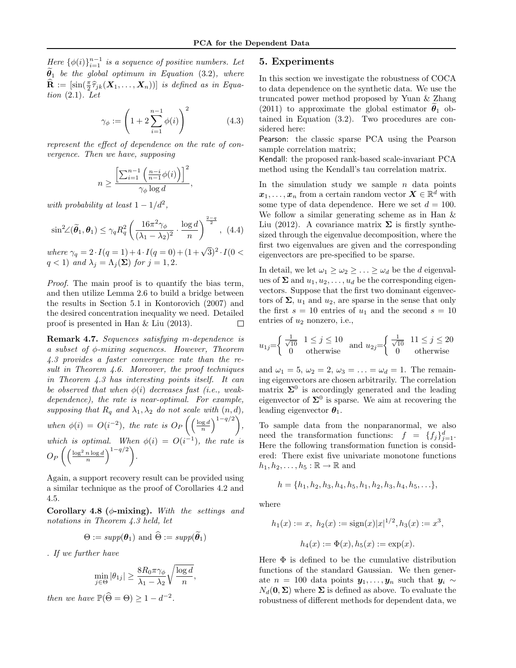Here  $\{\phi(i)\}_{i=1}^{n-1}$  is a sequence of positive numbers. Let  $\widetilde{\theta}_1$  be the global optimum in Equation (3.2), where  $\widehat{\mathbf{R}} := \left[\sin(\frac{\pi}{2}\widehat{\tau}_{jk}(\boldsymbol{X}_{1},\ldots,\boldsymbol{X}_{n}))\right]$  is defined as in Equation  $(2.1)$ . Let

$$
\gamma_{\phi} := \left(1 + 2\sum_{i=1}^{n-1} \phi(i)\right)^2 \tag{4.3}
$$

,

represent the effect of dependence on the rate of convergence. Then we have, supposing

$$
n \ge \frac{\left[\sum_{i=1}^{n-1} \left(\frac{n-i}{n-1} \phi(i)\right)\right]^2}{\gamma_{\phi} \log d}
$$

with probability at least  $1 - 1/d^2$ ,

$$
\sin^2\!\angle(\widetilde{\theta}_1,\theta_1) \leq \gamma_q R_q^2 \left(\frac{16\pi^2 \gamma_\phi}{(\lambda_1 - \lambda_2)^2} \cdot \frac{\log d}{n}\right)^{\frac{2-q}{2}}, \tag{4.4}
$$

where  $\gamma_q = 2 \cdot I(q = 1) + 4 \cdot I(q = 0) + (1 + \sqrt{3})^2 \cdot I(0 <$  $q < 1$ ) and  $\lambda_j = \Lambda_j(\mathbf{\Sigma})$  for  $j = 1, 2$ .

Proof. The main proof is to quantify the bias term, and then utilize Lemma 2.6 to build a bridge between the results in Section 5.1 in Kontorovich (2007) and the desired concentration inequality we need. Detailed proof is presented in Han & Liu (2013).  $\Box$ 

Remark 4.7. Sequences satisfying m-dependence is a subset of φ-mixing sequences. However, Theorem 4.3 provides a faster convergence rate than the result in Theorem 4.6. Moreover, the proof techniques in Theorem 4.3 has interesting points itself. It can be observed that when  $\phi(i)$  decreases fast (i.e., weakdependence), the rate is near-optimal. For example, supposing that  $R_q$  and  $\lambda_1, \lambda_2$  do not scale with  $(n, d)$ , when  $\phi(i) = O(i^{-2})$ , the rate is  $O_P\left(\left(\frac{\log d}{n}\right)^{1-q/2}\right)$ , which is optimal. When  $\phi(i) = O(i^{-1})$ , the rate is  $O_P\left(\left(\frac{\log^2 n \log d}{n}\right)^{1-q/2}\right).$ 

Again, a support recovery result can be provided using a similar technique as the proof of Corollaries 4.2 and 4.5.

Corollary 4.8 ( $\phi$ -mixing). With the settings and notations in Theorem 4.3 held, let

$$
\Theta := supp(\boldsymbol{\theta}_1)
$$
 and  $\widehat{\Theta} := supp(\widetilde{\boldsymbol{\theta}}_1)$ 

. If we further have

$$
\min_{j \in \Theta} |\theta_{1j}| \ge \frac{8R_0 \pi \gamma_{\phi}}{\lambda_1 - \lambda_2} \sqrt{\frac{\log d}{n}},
$$

then we have  $\mathbb{P}(\widehat{\Theta} = \Theta) \ge 1 - d^{-2}$ .

## 5. Experiments

In this section we investigate the robustness of COCA to data dependence on the synthetic data. We use the truncated power method proposed by Yuan & Zhang (2011) to approximate the global estimator  $\theta_1$  obtained in Equation (3.2). Two procedures are considered here:

Pearson: the classic sparse PCA using the Pearson sample correlation matrix;

Kendall: the proposed rank-based scale-invariant PCA method using the Kendall's tau correlation matrix.

In the simulation study we sample  $n$  data points  $\boldsymbol{x}_1, \ldots, \boldsymbol{x}_n$  from a certain random vector  $\boldsymbol{X} \in \mathbb{R}^{\overline{d}}$  with some type of data dependence. Here we set  $d = 100$ . We follow a similar generating scheme as in Han & Liu (2012). A covariance matrix  $\Sigma$  is firstly synthesized through the eigenvalue decomposition, where the first two eigenvalues are given and the corresponding eigenvectors are pre-specified to be sparse.

In detail, we let  $\omega_1 \geq \omega_2 \geq \ldots \geq \omega_d$  be the d eigenvalues of  $\Sigma$  and  $u_1, u_2, \ldots, u_d$  be the corresponding eigenvectors. Suppose that the first two dominant eigenvectors of  $\Sigma$ ,  $u_1$  and  $u_2$ , are sparse in the sense that only the first  $s = 10$  entries of  $u_1$  and the second  $s = 10$ entries of  $u_2$  nonzero, i.e.,

$$
u_{1j} = \begin{cases} \frac{1}{\sqrt{10}} & 1 \le j \le 10 \\ 0 & \text{otherwise} \end{cases} \text{ and } u_{2j} = \begin{cases} \frac{1}{\sqrt{10}} & 11 \le j \le 20 \\ 0 & \text{otherwise} \end{cases}
$$

and  $\omega_1 = 5$ ,  $\omega_2 = 2$ ,  $\omega_3 = \ldots = \omega_d = 1$ . The remaining eigenvectors are chosen arbitrarily. The correlation matrix  $\Sigma^0$  is accordingly generated and the leading eigenvector of  $\Sigma^0$  is sparse. We aim at recovering the leading eigenvector  $\theta_1$ .

To sample data from the nonparanormal, we also need the transformation functions:  $f = \{f_j\}_{j=1}^d$ . Here the following transformation function is considered: There exist five univariate monotone functions  $h_1, h_2, \ldots, h_5 : \mathbb{R} \to \mathbb{R}$  and

$$
h = \{h_1, h_2, h_3, h_4, h_5, h_1, h_2, h_3, h_4, h_5, \ldots\},\
$$

where

$$
h_1(x) := x, \ h_2(x) := \text{sign}(x)|x|^{1/2}, h_3(x) := x^3,
$$

$$
h_4(x) := \Phi(x), h_5(x) := \exp(x).
$$

Here  $\Phi$  is defined to be the cumulative distribution functions of the standard Gaussian. We then generate  $n = 100$  data points  $y_1, \ldots, y_n$  such that  $y_i \sim$  $N_d(\mathbf{0}, \mathbf{\Sigma})$  where  $\Sigma$  is defined as above. To evaluate the robustness of different methods for dependent data, we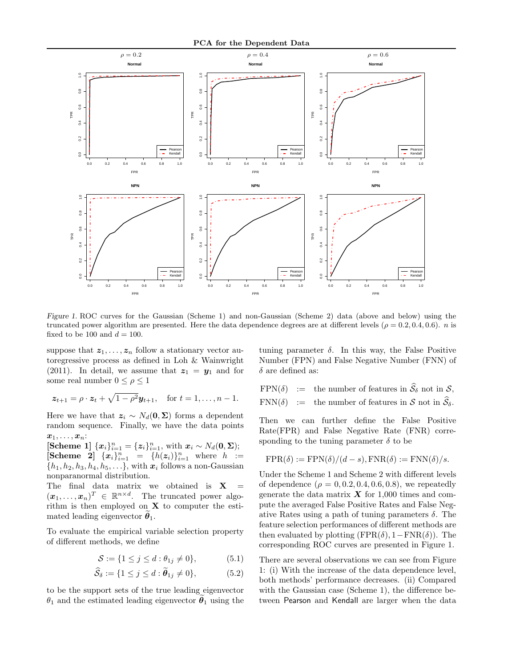

Figure 1. ROC curves for the Gaussian (Scheme 1) and non-Gaussian (Scheme 2) data (above and below) using the truncated power algorithm are presented. Here the data dependence degrees are at different levels ( $\rho = 0.2, 0.4, 0.6$ ). *n* is fixed to be 100 and  $d = 100$ .

suppose that  $z_1, \ldots, z_n$  follow a stationary vector autoregressive process as defined in Loh & Wainwright (2011). In detail, we assume that  $z_1 = y_1$  and for some real number  $0 \leq \rho \leq 1$ 

$$
z_{t+1} = \rho \cdot z_t + \sqrt{1 - \rho^2} y_{t+1}
$$
, for  $t = 1, ..., n-1$ .

Here we have that  $z_i \sim N_d(0, \Sigma)$  forms a dependent random sequence. Finally, we have the data points  $x_1, \ldots, x_n$ :

[Scheme 1]  ${x_i}_{i=1}^n = {z_i}_{i=1}^n$ , with  $x_i \sim N_d(0, Σ)$ ; [Scheme 2]  $\{x_i\}_{i=1}^n = \{h(z_i)\}_{i=1}^n$  where  $h :=$  $\{h_1, h_2, h_3, h_4, h_5, \ldots\}$ , with  $\boldsymbol{x}_i$  follows a non-Gaussian nonparanormal distribution.

The final data matrix we obtained is  $X =$  $(\boldsymbol{x}_1,\ldots,\boldsymbol{x}_n)^T \in \mathbb{R}^{n \times d}$ . The truncated power algorithm is then employed on  $X$  to computer the estimated leading eigenvector  $\theta_1$ .

To evaluate the empirical variable selection property of different methods, we define

$$
S := \{ 1 \le j \le d : \theta_{1j} \ne 0 \},\tag{5.1}
$$

$$
\mathcal{S}_{\delta} := \{ 1 \le j \le d : \boldsymbol{\theta}_{1j} \neq 0 \},\tag{5.2}
$$

to be the support sets of the true leading eigenvector  $\theta_1$  and the estimated leading eigenvector  $\theta_1$  using the tuning parameter  $\delta$ . In this way, the False Positive Number (FPN) and False Negative Number (FNN) of  $\delta$  are defined as:

FPN( $\delta$ ) := the number of features in  $\widehat{S}_{\delta}$  not in S, FNN( $\delta$ ) := the number of features in  $S$  not in  $\widehat{S}_{\delta}$ .

Then we can further define the False Positive Rate(FPR) and False Negative Rate (FNR) corresponding to the tuning parameter  $\delta$  to be

$$
FPR(\delta) := FPN(\delta)/(d - s), FNR(\delta) := FNN(\delta)/s.
$$

Under the Scheme 1 and Scheme 2 with different levels of dependence  $(\rho = 0, 0.2, 0.4, 0.6, 0.8)$ , we repeatedly generate the data matrix  $\boldsymbol{X}$  for 1,000 times and compute the averaged False Positive Rates and False Negative Rates using a path of tuning parameters  $\delta$ . The feature selection performances of different methods are then evaluated by plotting  $(FPR(\delta), 1 - FNR(\delta))$ . The corresponding ROC curves are presented in Figure 1.

There are several observations we can see from Figure 1: (i) With the increase of the data dependence level, both methods' performance decreases. (ii) Compared with the Gaussian case (Scheme 1), the difference between Pearson and Kendall are larger when the data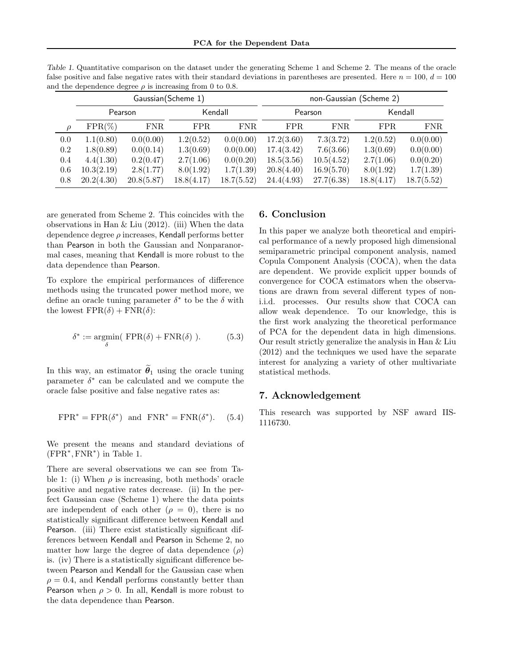|         | Gaussian (Scheme 1) |            |            |            | non-Gaussian (Scheme 2) |            |            |            |
|---------|---------------------|------------|------------|------------|-------------------------|------------|------------|------------|
|         | Pearson             |            | Kendall    |            | Pearson                 |            | Kendall    |            |
|         | $FPR(\%)$           | FNR.       | FPR.       | FNR.       | FPR.                    | FNR.       | FPR.       | FNR.       |
| 0.0     | 1.1(0.80)           | 0.0(0.00)  | 1.2(0.52)  | 0.0(0.00)  | 17.2(3.60)              | 7.3(3.72)  | 1.2(0.52)  | 0.0(0.00)  |
| $0.2\,$ | 1.8(0.89)           | 0.0(0.14)  | 1.3(0.69)  | 0.0(0.00)  | 17.4(3.42)              | 7.6(3.66)  | 1.3(0.69)  | 0.0(0.00)  |
| 0.4     | 4.4(1.30)           | 0.2(0.47)  | 2.7(1.06)  | 0.0(0.20)  | 18.5(3.56)              | 10.5(4.52) | 2.7(1.06)  | 0.0(0.20)  |
| 0.6     | 10.3(2.19)          | 2.8(1.77)  | 8.0(1.92)  | 1.7(1.39)  | 20.8(4.40)              | 16.9(5.70) | 8.0(1.92)  | 1.7(1.39)  |
| 0.8     | 20.2(4.30)          | 20.8(5.87) | 18.8(4.17) | 18.7(5.52) | 24.4(4.93)              | 27.7(6.38) | 18.8(4.17) | 18.7(5.52) |

Table 1. Quantitative comparison on the dataset under the generating Scheme 1 and Scheme 2. The means of the oracle false positive and false negative rates with their standard deviations in parentheses are presented. Here  $n = 100$ ,  $d = 100$ and the dependence degree  $\rho$  is increasing from 0 to 0.8.

are generated from Scheme 2. This coincides with the observations in Han  $&$  Liu (2012). (iii) When the data dependence degree  $\rho$  increases, Kendall performs better than Pearson in both the Gaussian and Nonparanormal cases, meaning that Kendall is more robust to the data dependence than Pearson.

To explore the empirical performances of difference methods using the truncated power method more, we define an oracle tuning parameter  $\delta^*$  to be the  $\delta$  with the lowest  $\text{FPR}(\delta) + \text{FNR}(\delta)$ :

$$
\delta^* := \underset{\delta}{\text{argmin}} \left( \text{ FPR}(\delta) + \text{FNR}(\delta) \right). \tag{5.3}
$$

In this way, an estimator  $\tilde{\theta}_1$  using the oracle tuning parameter  $\delta^*$  can be calculated and we compute the oracle false positive and false negative rates as:

$$
FPR^* = FPR(\delta^*) \text{ and } FNR^* = FNR(\delta^*). \tag{5.4}
$$

We present the means and standard deviations of  $(FPR^*, FNR^*)$  in Table 1.

There are several observations we can see from Table 1: (i) When  $\rho$  is increasing, both methods' oracle positive and negative rates decrease. (ii) In the perfect Gaussian case (Scheme 1) where the data points are independent of each other  $(\rho = 0)$ , there is no statistically significant difference between Kendall and Pearson. (iii) There exist statistically significant differences between Kendall and Pearson in Scheme 2, no matter how large the degree of data dependence  $(\rho)$ is. (iv) There is a statistically significant difference between Pearson and Kendall for the Gaussian case when  $\rho = 0.4$ , and Kendall performs constantly better than Pearson when  $\rho > 0$ . In all, Kendall is more robust to the data dependence than Pearson.

## 6. Conclusion

In this paper we analyze both theoretical and empirical performance of a newly proposed high dimensional semiparametric principal component analysis, named Copula Component Analysis (COCA), when the data are dependent. We provide explicit upper bounds of convergence for COCA estimators when the observations are drawn from several different types of noni.i.d. processes. Our results show that COCA can allow weak dependence. To our knowledge, this is the first work analyzing the theoretical performance of PCA for the dependent data in high dimensions. Our result strictly generalize the analysis in Han & Liu (2012) and the techniques we used have the separate interest for analyzing a variety of other multivariate statistical methods.

## 7. Acknowledgement

This research was supported by NSF award IIS-1116730.